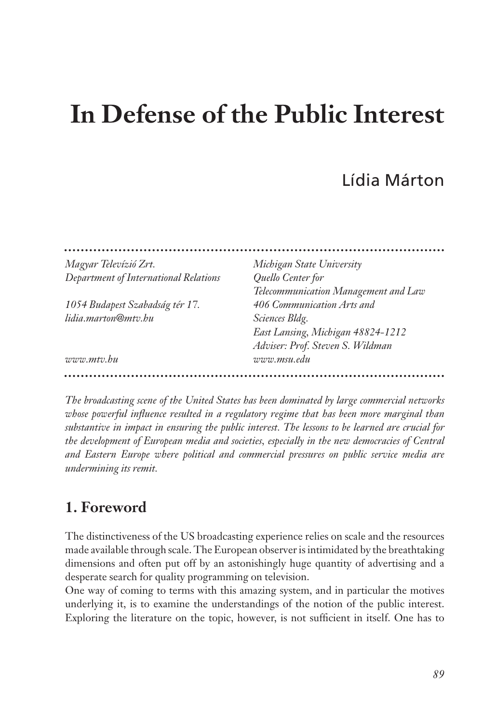# **In Defense of the Public Interest**

# Lídia Márton

| Michigan State University            |
|--------------------------------------|
| Quello Center for                    |
| Telecommunication Management and Law |
| 406 Communication Arts and           |
| <i>Sciences Bldg.</i>                |
| East Lansing, Michigan 48824-1212    |
| Adviser: Prof. Steven S. Wildman     |
| www.msu.edu                          |
|                                      |

*The broadcasting scene of the United States has been dominated by large commercial networks whose powerful influence resulted in a regulatory regime that has been more marginal than substantive in impact in ensuring the public interest. The lessons to be learned are crucial for the development of European media and societies, especially in the new democracies of Central and Eastern Europe where political and commercial pressures on public service media are undermining its remit.*

#### **1. Foreword**

The distinctiveness of the US broadcasting experience relies on scale and the resources made available through scale. The European observer is intimidated by the breathtaking dimensions and often put off by an astonishingly huge quantity of advertising and a desperate search for quality programming on television.

One way of coming to terms with this amazing system, and in particular the motives underlying it, is to examine the understandings of the notion of the public interest. Exploring the literature on the topic, however, is not sufficient in itself. One has to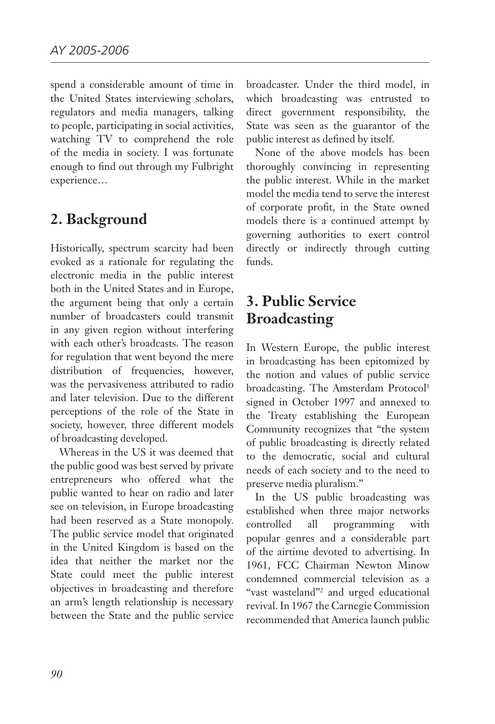spend a considerable amount of time in the United States interviewing scholars, regulators and media managers, talking to people, participating in social activities, watching TV to comprehend the role of the media in society. I was fortunate enough to find out through my Fulbright experience…

## **2. Background**

Historically, spectrum scarcity had been evoked as a rationale for regulating the electronic media in the public interest both in the United States and in Europe, the argument being that only a certain number of broadcasters could transmit in any given region without interfering with each other's broadcasts. The reason for regulation that went beyond the mere distribution of frequencies, however, was the pervasiveness attributed to radio and later television. Due to the different perceptions of the role of the State in society, however, three different models of broadcasting developed.

Whereas in the US it was deemed that the public good was best served by private entrepreneurs who offered what the public wanted to hear on radio and later see on television, in Europe broadcasting had been reserved as a State monopoly. The public service model that originated in the United Kingdom is based on the idea that neither the market nor the State could meet the public interest objectives in broadcasting and therefore an arm's length relationship is necessary between the State and the public service broadcaster. Under the third model, in which broadcasting was entrusted to direct government responsibility, the State was seen as the guarantor of the public interest as defined by itself.

None of the above models has been thoroughly convincing in representing the public interest. While in the market model the media tend to serve the interest of corporate profit, in the State owned models there is a continued attempt by governing authorities to exert control directly or indirectly through cutting funds.

## **3. Public Service Broadcasting**

In Western Europe, the public interest in broadcasting has been epitomized by the notion and values of public service broadcasting. The Amsterdam Protocol<sup>1</sup> signed in October 1997 and annexed to the Treaty establishing the European Community recognizes that "the system of public broadcasting is directly related to the democratic, social and cultural needs of each society and to the need to preserve media pluralism."

In the US public broadcasting was established when three major networks controlled all programming with popular genres and a considerable part of the airtime devoted to advertising. In 1961, FCC Chairman Newton Minow condemned commercial television as a "vast wasteland"2 and urged educational revival. In 1967 the Carnegie Commission recommended that America launch public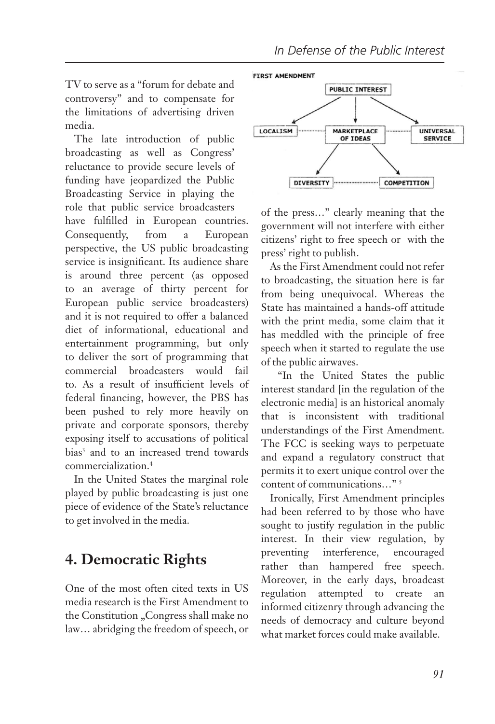TV to serve as a "forum for debate and controversy" and to compensate for the limitations of advertising driven media.

The late introduction of public broadcasting as well as Congress' reluctance to provide secure levels of funding have jeopardized the Public Broadcasting Service in playing the role that public service broadcasters have fulfilled in European countries. Consequently, from a European perspective, the US public broadcasting service is insignificant. Its audience share is around three percent (as opposed to an average of thirty percent for European public service broadcasters) and it is not required to offer a balanced diet of informational, educational and entertainment programming, but only to deliver the sort of programming that commercial broadcasters would fail to. As a result of insufficient levels of federal financing, however, the PBS has been pushed to rely more heavily on private and corporate sponsors, thereby exposing itself to accusations of political bias<sup>3</sup> and to an increased trend towards commercialization.4

In the United States the marginal role played by public broadcasting is just one piece of evidence of the State's reluctance to get involved in the media.

## **4. Democratic Rights**

One of the most often cited texts in US media research is the First Amendment to the Constitution "Congress shall make no law… abridging the freedom of speech, or



of the press…" clearly meaning that the government will not interfere with either citizens' right to free speech or with the press' right to publish.

As the First Amendment could not refer to broadcasting, the situation here is far from being unequivocal. Whereas the State has maintained a hands-off attitude with the print media, some claim that it has meddled with the principle of free speech when it started to regulate the use of the public airwaves.

 "In the United States the public interest standard [in the regulation of the electronic media] is an historical anomaly that is inconsistent with traditional understandings of the First Amendment. The FCC is seeking ways to perpetuate and expand a regulatory construct that permits it to exert unique control over the content of communications…" 5

Ironically, First Amendment principles had been referred to by those who have sought to justify regulation in the public interest. In their view regulation, by preventing interference, encouraged rather than hampered free speech. Moreover, in the early days, broadcast regulation attempted to create an informed citizenry through advancing the needs of democracy and culture beyond what market forces could make available.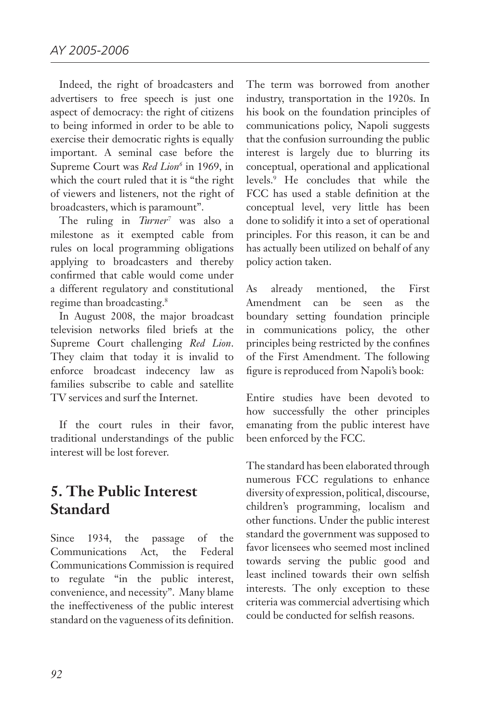Indeed, the right of broadcasters and advertisers to free speech is just one aspect of democracy: the right of citizens to being informed in order to be able to exercise their democratic rights is equally important. A seminal case before the Supreme Court was *Red Lion*<sup>6</sup> in 1969, in which the court ruled that it is "the right of viewers and listeners, not the right of broadcasters, which is paramount".

The ruling in *Turner7* was also a milestone as it exempted cable from rules on local programming obligations applying to broadcasters and thereby confirmed that cable would come under a different regulatory and constitutional regime than broadcasting.<sup>8</sup>

In August 2008, the major broadcast television networks filed briefs at the Supreme Court challenging *Red Lion*. They claim that today it is invalid to enforce broadcast indecency law as families subscribe to cable and satellite TV services and surf the Internet.

If the court rules in their favor, traditional understandings of the public interest will be lost forever.

## **5. The Public Interest Standard**

Since 1934, the passage of the Communications Act, the Federal Communications Commission is required to regulate "in the public interest, convenience, and necessity". Many blame the ineffectiveness of the public interest standard on the vagueness of its definition.

The term was borrowed from another industry, transportation in the 1920s. In his book on the foundation principles of communications policy, Napoli suggests that the confusion surrounding the public interest is largely due to blurring its conceptual, operational and applicational levels.9 He concludes that while the FCC has used a stable definition at the conceptual level, very little has been done to solidify it into a set of operational principles. For this reason, it can be and has actually been utilized on behalf of any policy action taken.

As already mentioned, the First Amendment can be seen as the boundary setting foundation principle in communications policy, the other principles being restricted by the confines of the First Amendment. The following figure is reproduced from Napoli's book:

Entire studies have been devoted to how successfully the other principles emanating from the public interest have been enforced by the FCC.

The standard has been elaborated through numerous FCC regulations to enhance diversity of expression, political, discourse, children's programming, localism and other functions. Under the public interest standard the government was supposed to favor licensees who seemed most inclined towards serving the public good and least inclined towards their own selfish interests. The only exception to these criteria was commercial advertising which could be conducted for selfish reasons.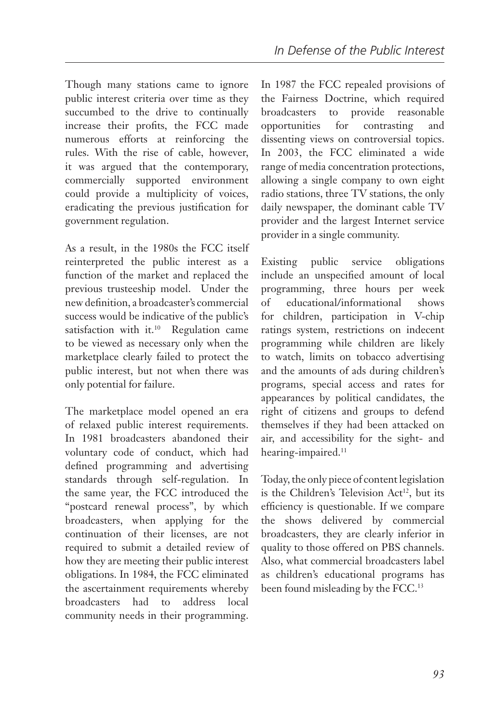Though many stations came to ignore public interest criteria over time as they succumbed to the drive to continually increase their profits, the FCC made numerous efforts at reinforcing the rules. With the rise of cable, however, it was argued that the contemporary, commercially supported environment could provide a multiplicity of voices, eradicating the previous justification for government regulation.

As a result, in the 1980s the FCC itself reinterpreted the public interest as a function of the market and replaced the previous trusteeship model. Under the new definition, a broadcaster's commercial success would be indicative of the public's satisfaction with it.<sup>10</sup> Regulation came to be viewed as necessary only when the marketplace clearly failed to protect the public interest, but not when there was only potential for failure.

The marketplace model opened an era of relaxed public interest requirements. In 1981 broadcasters abandoned their voluntary code of conduct, which had defined programming and advertising standards through self-regulation. In the same year, the FCC introduced the "postcard renewal process", by which broadcasters, when applying for the continuation of their licenses, are not required to submit a detailed review of how they are meeting their public interest obligations. In 1984, the FCC eliminated the ascertainment requirements whereby broadcasters had to address local community needs in their programming.

In 1987 the FCC repealed provisions of the Fairness Doctrine, which required broadcasters to provide reasonable opportunities for contrasting and dissenting views on controversial topics. In 2003, the FCC eliminated a wide range of media concentration protections, allowing a single company to own eight radio stations, three TV stations, the only daily newspaper, the dominant cable TV provider and the largest Internet service provider in a single community.

Existing public service obligations include an unspecified amount of local programming, three hours per week of educational/informational shows for children, participation in V-chip ratings system, restrictions on indecent programming while children are likely to watch, limits on tobacco advertising and the amounts of ads during children's programs, special access and rates for appearances by political candidates, the right of citizens and groups to defend themselves if they had been attacked on air, and accessibility for the sight- and hearing-impaired.<sup>11</sup>

Today, the only piece of content legislation is the Children's Television Act<sup>12</sup>, but its efficiency is questionable. If we compare the shows delivered by commercial broadcasters, they are clearly inferior in quality to those offered on PBS channels. Also, what commercial broadcasters label as children's educational programs has been found misleading by the FCC.<sup>13</sup>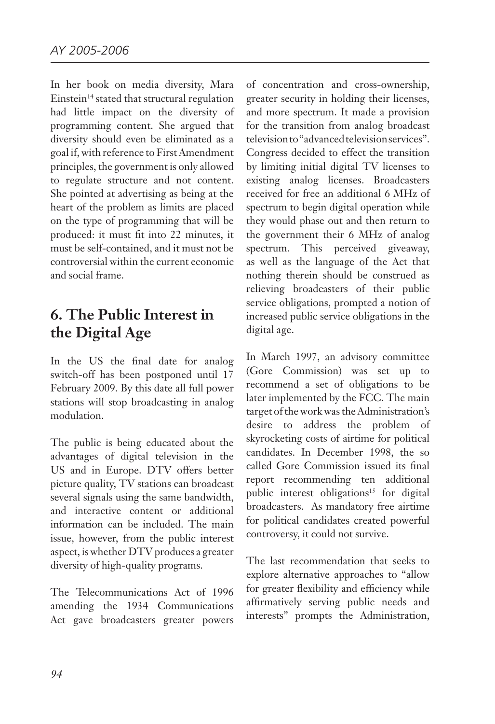In her book on media diversity, Mara Einstein<sup>14</sup> stated that structural regulation had little impact on the diversity of programming content. She argued that diversity should even be eliminated as a goal if, with reference to First Amendment principles, the government is only allowed to regulate structure and not content. She pointed at advertising as being at the heart of the problem as limits are placed on the type of programming that will be produced: it must fit into 22 minutes, it must be self-contained, and it must not be controversial within the current economic and social frame.

## **6. The Public Interest in the Digital Age**

In the US the final date for analog switch-off has been postponed until 17 February 2009. By this date all full power stations will stop broadcasting in analog modulation.

The public is being educated about the advantages of digital television in the US and in Europe. DTV offers better picture quality, TV stations can broadcast several signals using the same bandwidth, and interactive content or additional information can be included. The main issue, however, from the public interest aspect, is whether DTV produces a greater diversity of high-quality programs.

The Telecommunications Act of 1996 amending the 1934 Communications Act gave broadcasters greater powers of concentration and cross-ownership, greater security in holding their licenses, and more spectrum. It made a provision for the transition from analog broadcast television to "advanced television services". Congress decided to effect the transition by limiting initial digital TV licenses to existing analog licenses. Broadcasters received for free an additional 6 MHz of spectrum to begin digital operation while they would phase out and then return to the government their 6 MHz of analog spectrum. This perceived giveaway, as well as the language of the Act that nothing therein should be construed as relieving broadcasters of their public service obligations, prompted a notion of increased public service obligations in the digital age.

In March 1997, an advisory committee (Gore Commission) was set up to recommend a set of obligations to be later implemented by the FCC. The main target of the work was the Administration's desire to address the problem of skyrocketing costs of airtime for political candidates. In December 1998, the so called Gore Commission issued its final report recommending ten additional public interest obligations<sup>15</sup> for digital broadcasters. As mandatory free airtime for political candidates created powerful controversy, it could not survive.

The last recommendation that seeks to explore alternative approaches to "allow for greater flexibility and efficiency while affirmatively serving public needs and interests" prompts the Administration,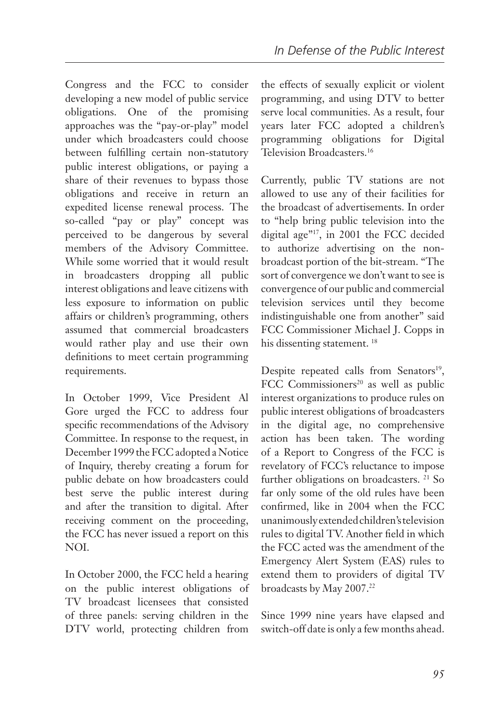Congress and the FCC to consider developing a new model of public service obligations. One of the promising approaches was the "pay-or-play" model under which broadcasters could choose between fulfilling certain non-statutory public interest obligations, or paying a share of their revenues to bypass those obligations and receive in return an expedited license renewal process. The so-called "pay or play" concept was perceived to be dangerous by several members of the Advisory Committee. While some worried that it would result in broadcasters dropping all public interest obligations and leave citizens with less exposure to information on public affairs or children's programming, others assumed that commercial broadcasters would rather play and use their own definitions to meet certain programming requirements.

In October 1999, Vice President Al Gore urged the FCC to address four specific recommendations of the Advisory Committee. In response to the request, in December 1999 the FCC adopted a Notice of Inquiry, thereby creating a forum for public debate on how broadcasters could best serve the public interest during and after the transition to digital. After receiving comment on the proceeding, the FCC has never issued a report on this NOI.

In October 2000, the FCC held a hearing on the public interest obligations of TV broadcast licensees that consisted of three panels: serving children in the DTV world, protecting children from

the effects of sexually explicit or violent programming, and using DTV to better serve local communities. As a result, four years later FCC adopted a children's programming obligations for Digital Television Broadcasters.16

Currently, public TV stations are not allowed to use any of their facilities for the broadcast of advertisements. In order to "help bring public television into the digital age"<sup>17</sup>, in 2001 the FCC decided to authorize advertising on the nonbroadcast portion of the bit-stream. "The sort of convergence we don't want to see is convergence of our public and commercial television services until they become indistinguishable one from another" said FCC Commissioner Michael J. Copps in his dissenting statement.<sup>18</sup>

Despite repeated calls from Senators<sup>19</sup>, FCC Commissioners<sup>20</sup> as well as public interest organizations to produce rules on public interest obligations of broadcasters in the digital age, no comprehensive action has been taken. The wording of a Report to Congress of the FCC is revelatory of FCC's reluctance to impose further obligations on broadcasters.<sup>21</sup> So far only some of the old rules have been confirmed, like in 2004 when the FCC unanimously extended children's television rules to digital TV. Another field in which the FCC acted was the amendment of the Emergency Alert System (EAS) rules to extend them to providers of digital TV broadcasts by May 2007.<sup>22</sup>

Since 1999 nine years have elapsed and switch-off date is only a few months ahead.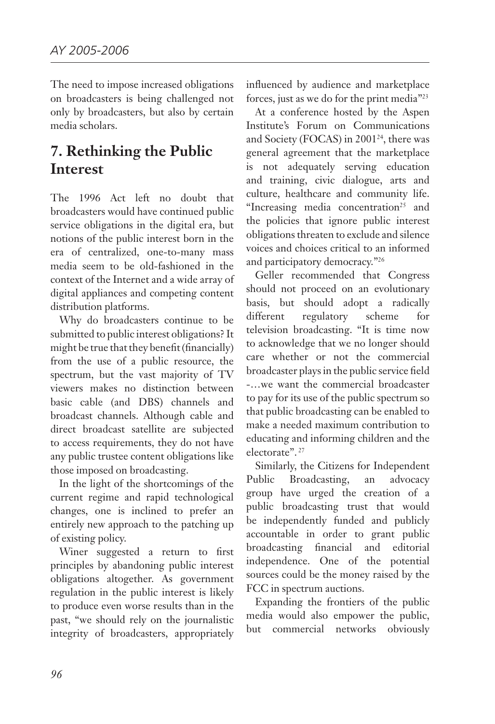The need to impose increased obligations on broadcasters is being challenged not only by broadcasters, but also by certain media scholars.

## **7. Rethinking the Public Interest**

The 1996 Act left no doubt that broadcasters would have continued public service obligations in the digital era, but notions of the public interest born in the era of centralized, one-to-many mass media seem to be old-fashioned in the context of the Internet and a wide array of digital appliances and competing content distribution platforms.

Why do broadcasters continue to be submitted to public interest obligations? It might be true that they benefit (financially) from the use of a public resource, the spectrum, but the vast majority of TV viewers makes no distinction between basic cable (and DBS) channels and broadcast channels. Although cable and direct broadcast satellite are subjected to access requirements, they do not have any public trustee content obligations like those imposed on broadcasting.

In the light of the shortcomings of the current regime and rapid technological changes, one is inclined to prefer an entirely new approach to the patching up of existing policy.

Winer suggested a return to first principles by abandoning public interest obligations altogether. As government regulation in the public interest is likely to produce even worse results than in the past, "we should rely on the journalistic integrity of broadcasters, appropriately influenced by audience and marketplace forces, just as we do for the print media"23

At a conference hosted by the Aspen Institute's Forum on Communications and Society (FOCAS) in 2001<sup>24</sup>, there was general agreement that the marketplace is not adequately serving education and training, civic dialogue, arts and culture, healthcare and community life. "Increasing media concentration<sup>25</sup> and the policies that ignore public interest obligations threaten to exclude and silence voices and choices critical to an informed and participatory democracy."26

Geller recommended that Congress should not proceed on an evolutionary basis, but should adopt a radically different regulatory scheme for television broadcasting. "It is time now to acknowledge that we no longer should care whether or not the commercial broadcaster plays in the public service field -…we want the commercial broadcaster to pay for its use of the public spectrum so that public broadcasting can be enabled to make a needed maximum contribution to educating and informing children and the electorate". 27

Similarly, the Citizens for Independent Public Broadcasting, an advocacy group have urged the creation of a public broadcasting trust that would be independently funded and publicly accountable in order to grant public broadcasting financial and editorial independence. One of the potential sources could be the money raised by the FCC in spectrum auctions.

Expanding the frontiers of the public media would also empower the public, but commercial networks obviously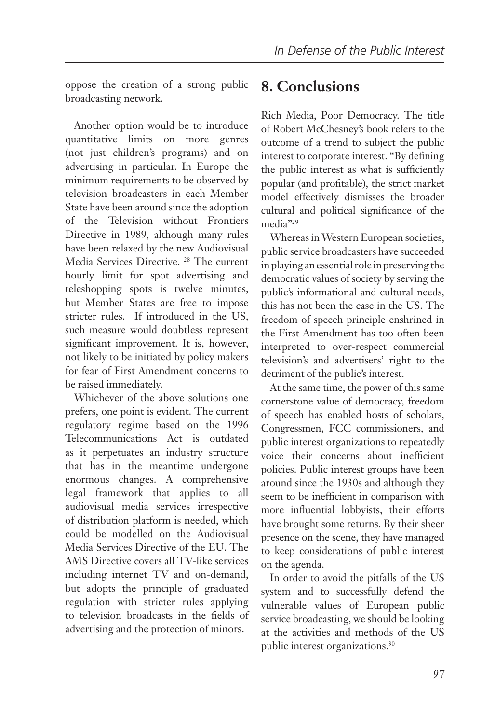oppose the creation of a strong public broadcasting network.

Another option would be to introduce quantitative limits on more genres (not just children's programs) and on advertising in particular. In Europe the minimum requirements to be observed by television broadcasters in each Member State have been around since the adoption of the Television without Frontiers Directive in 1989, although many rules have been relaxed by the new Audiovisual Media Services Directive. 28 The current hourly limit for spot advertising and teleshopping spots is twelve minutes, but Member States are free to impose stricter rules. If introduced in the US, such measure would doubtless represent significant improvement. It is, however, not likely to be initiated by policy makers for fear of First Amendment concerns to be raised immediately.

Whichever of the above solutions one prefers, one point is evident. The current regulatory regime based on the 1996 Telecommunications Act is outdated as it perpetuates an industry structure that has in the meantime undergone enormous changes. A comprehensive legal framework that applies to all audiovisual media services irrespective of distribution platform is needed, which could be modelled on the Audiovisual Media Services Directive of the EU. The AMS Directive covers all TV-like services including internet TV and on-demand, but adopts the principle of graduated regulation with stricter rules applying to television broadcasts in the fields of advertising and the protection of minors.

## **8. Conclusions**

Rich Media, Poor Democracy. The title of Robert McChesney's book refers to the outcome of a trend to subject the public interest to corporate interest. "By defining the public interest as what is sufficiently popular (and profitable), the strict market model effectively dismisses the broader cultural and political significance of the media"29

Whereas in Western European societies, public service broadcasters have succeeded in playing an essential role in preserving the democratic values of society by serving the public's informational and cultural needs, this has not been the case in the US. The freedom of speech principle enshrined in the First Amendment has too often been interpreted to over-respect commercial television's and advertisers' right to the detriment of the public's interest.

At the same time, the power of this same cornerstone value of democracy, freedom of speech has enabled hosts of scholars, Congressmen, FCC commissioners, and public interest organizations to repeatedly voice their concerns about inefficient policies. Public interest groups have been around since the 1930s and although they seem to be inefficient in comparison with more influential lobbyists, their efforts have brought some returns. By their sheer presence on the scene, they have managed to keep considerations of public interest on the agenda.

In order to avoid the pitfalls of the US system and to successfully defend the vulnerable values of European public service broadcasting, we should be looking at the activities and methods of the US public interest organizations.30